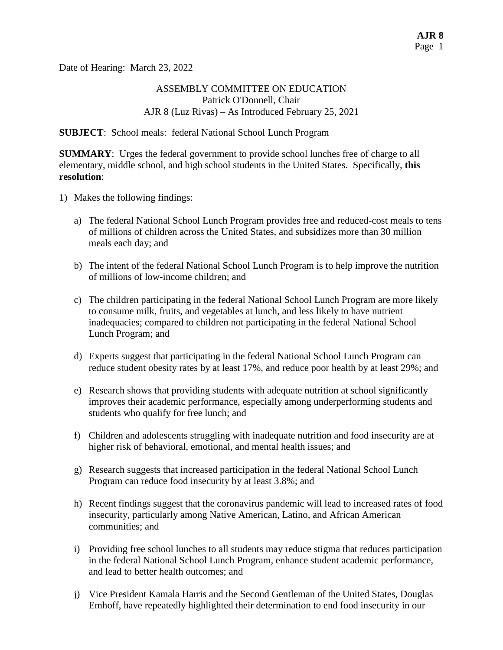Date of Hearing: March 23, 2022

### ASSEMBLY COMMITTEE ON EDUCATION Patrick O'Donnell, Chair AJR 8 (Luz Rivas) – As Introduced February 25, 2021

#### **SUBJECT**: School meals: federal National School Lunch Program

**SUMMARY:** Urges the federal government to provide school lunches free of charge to all elementary, middle school, and high school students in the United States. Specifically, **this resolution**:

- 1) Makes the following findings:
	- a) The federal National School Lunch Program provides free and reduced-cost meals to tens of millions of children across the United States, and subsidizes more than 30 million meals each day; and
	- b) The intent of the federal National School Lunch Program is to help improve the nutrition of millions of low-income children; and
	- c) The children participating in the federal National School Lunch Program are more likely to consume milk, fruits, and vegetables at lunch, and less likely to have nutrient inadequacies; compared to children not participating in the federal National School Lunch Program; and
	- d) Experts suggest that participating in the federal National School Lunch Program can reduce student obesity rates by at least 17%, and reduce poor health by at least 29%; and
	- e) Research shows that providing students with adequate nutrition at school significantly improves their academic performance, especially among underperforming students and students who qualify for free lunch; and
	- f) Children and adolescents struggling with inadequate nutrition and food insecurity are at higher risk of behavioral, emotional, and mental health issues; and
	- g) Research suggests that increased participation in the federal National School Lunch Program can reduce food insecurity by at least 3.8%; and
	- h) Recent findings suggest that the coronavirus pandemic will lead to increased rates of food insecurity, particularly among Native American, Latino, and African American communities; and
	- i) Providing free school lunches to all students may reduce stigma that reduces participation in the federal National School Lunch Program, enhance student academic performance, and lead to better health outcomes; and
	- j) Vice President Kamala Harris and the Second Gentleman of the United States, Douglas Emhoff, have repeatedly highlighted their determination to end food insecurity in our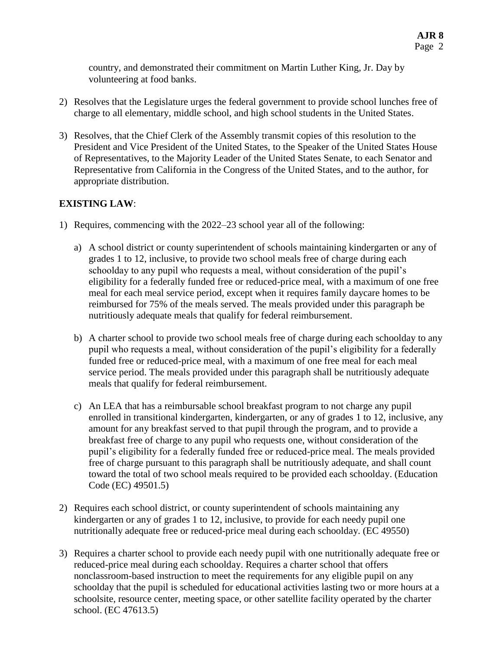country, and demonstrated their commitment on Martin Luther King, Jr. Day by volunteering at food banks.

- 2) Resolves that the Legislature urges the federal government to provide school lunches free of charge to all elementary, middle school, and high school students in the United States.
- 3) Resolves, that the Chief Clerk of the Assembly transmit copies of this resolution to the President and Vice President of the United States, to the Speaker of the United States House of Representatives, to the Majority Leader of the United States Senate, to each Senator and Representative from California in the Congress of the United States, and to the author, for appropriate distribution.

# **EXISTING LAW**:

- 1) Requires, commencing with the 2022–23 school year all of the following:
	- a) A school district or county superintendent of schools maintaining kindergarten or any of grades 1 to 12, inclusive, to provide two school meals free of charge during each schoolday to any pupil who requests a meal, without consideration of the pupil's eligibility for a federally funded free or reduced-price meal, with a maximum of one free meal for each meal service period, except when it requires family daycare homes to be reimbursed for 75% of the meals served. The meals provided under this paragraph be nutritiously adequate meals that qualify for federal reimbursement.
	- b) A charter school to provide two school meals free of charge during each schoolday to any pupil who requests a meal, without consideration of the pupil's eligibility for a federally funded free or reduced-price meal, with a maximum of one free meal for each meal service period. The meals provided under this paragraph shall be nutritiously adequate meals that qualify for federal reimbursement.
	- c) An LEA that has a reimbursable school breakfast program to not charge any pupil enrolled in transitional kindergarten, kindergarten, or any of grades 1 to 12, inclusive, any amount for any breakfast served to that pupil through the program, and to provide a breakfast free of charge to any pupil who requests one, without consideration of the pupil's eligibility for a federally funded free or reduced-price meal. The meals provided free of charge pursuant to this paragraph shall be nutritiously adequate, and shall count toward the total of two school meals required to be provided each schoolday. (Education Code (EC) 49501.5)
- 2) Requires each school district, or county superintendent of schools maintaining any kindergarten or any of grades 1 to 12, inclusive, to provide for each needy pupil one nutritionally adequate free or reduced-price meal during each schoolday. (EC 49550)
- 3) Requires a charter school to provide each needy pupil with one nutritionally adequate free or reduced-price meal during each schoolday. Requires a charter school that offers nonclassroom-based instruction to meet the requirements for any eligible pupil on any schoolday that the pupil is scheduled for educational activities lasting two or more hours at a schoolsite, resource center, meeting space, or other satellite facility operated by the charter school. (EC 47613.5)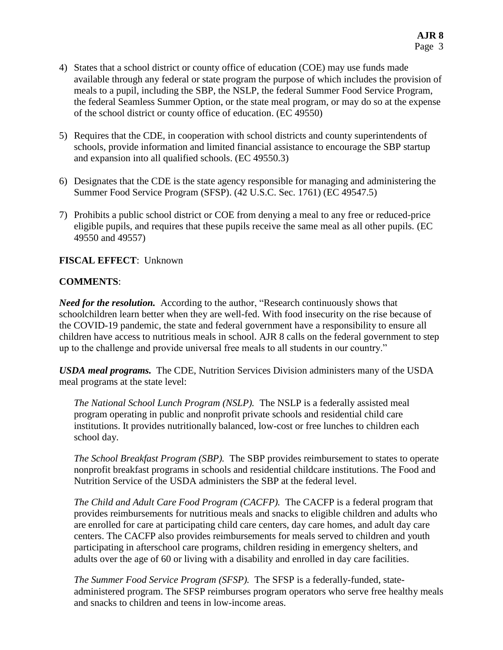- 4) States that a school district or county office of education (COE) may use funds made available through any federal or state program the purpose of which includes the provision of meals to a pupil, including the SBP, the NSLP, the federal Summer Food Service Program, the federal Seamless Summer Option, or the state meal program, or may do so at the expense of the school district or county office of education. (EC 49550)
- 5) Requires that the CDE, in cooperation with school districts and county superintendents of schools, provide information and limited financial assistance to encourage the SBP startup and expansion into all qualified schools. (EC 49550.3)
- 6) Designates that the CDE is the state agency responsible for managing and administering the Summer Food Service Program (SFSP). (42 U.S.C. Sec. 1761) (EC 49547.5)
- 7) Prohibits a public school district or COE from denying a meal to any free or reduced-price eligible pupils, and requires that these pupils receive the same meal as all other pupils. (EC 49550 and 49557)

### **FISCAL EFFECT**: Unknown

### **COMMENTS**:

*Need for the resolution.* According to the author, "Research continuously shows that schoolchildren learn better when they are well-fed. With food insecurity on the rise because of the COVID-19 pandemic, the state and federal government have a responsibility to ensure all children have access to nutritious meals in school. AJR 8 calls on the federal government to step up to the challenge and provide universal free meals to all students in our country."

*USDA meal programs.* The CDE, Nutrition Services Division administers many of the USDA meal programs at the state level:

*The National School Lunch Program (NSLP).* The NSLP is a federally assisted meal program operating in public and nonprofit private schools and residential child care institutions. It provides nutritionally balanced, low-cost or free lunches to children each school day.

*The School Breakfast Program (SBP).* The SBP provides reimbursement to states to operate nonprofit breakfast programs in schools and residential childcare institutions. The Food and Nutrition Service of the USDA administers the SBP at the federal level.

*The Child and Adult Care Food Program (CACFP).* The CACFP is a federal program that provides reimbursements for nutritious meals and snacks to eligible children and adults who are enrolled for care at participating child care centers, day care homes, and adult day care centers. The CACFP also provides reimbursements for meals served to children and youth participating in afterschool care programs, children residing in emergency shelters, and adults over the age of 60 or living with a disability and enrolled in day care facilities.

*The Summer Food Service Program (SFSP).*The SFSP is a federally-funded, stateadministered program. The SFSP reimburses program operators who serve free healthy meals and snacks to children and teens in low-income areas.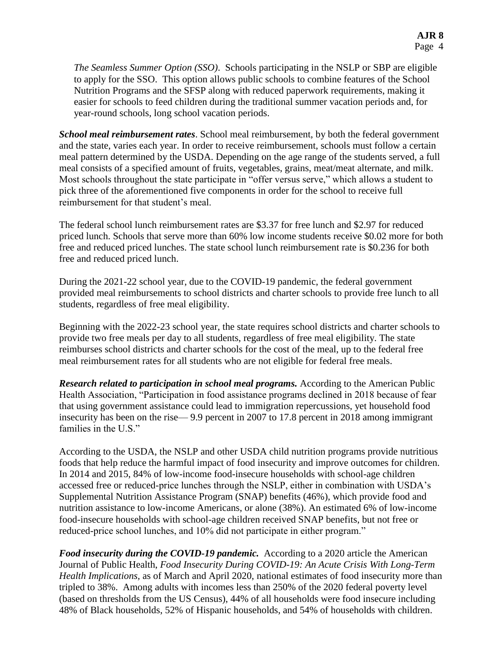*The Seamless Summer Option (SSO)*. Schools participating in the NSLP or SBP are eligible to apply for the SSO. This option allows public schools to combine features of the School Nutrition Programs and the SFSP along with reduced paperwork requirements, making it easier for schools to feed children during the traditional summer vacation periods and, for year-round schools, long school vacation periods.

*School meal reimbursement rates*. School meal reimbursement, by both the federal government and the state, varies each year. In order to receive reimbursement, schools must follow a certain meal pattern determined by the USDA. Depending on the age range of the students served, a full meal consists of a specified amount of fruits, vegetables, grains, meat/meat alternate, and milk. Most schools throughout the state participate in "offer versus serve," which allows a student to pick three of the aforementioned five components in order for the school to receive full reimbursement for that student's meal.

The federal school lunch reimbursement rates are \$3.37 for free lunch and \$2.97 for reduced priced lunch. Schools that serve more than 60% low income students receive \$0.02 more for both free and reduced priced lunches. The state school lunch reimbursement rate is \$0.236 for both free and reduced priced lunch.

During the 2021-22 school year, due to the COVID-19 pandemic, the federal government provided meal reimbursements to school districts and charter schools to provide free lunch to all students, regardless of free meal eligibility.

Beginning with the 2022-23 school year, the state requires school districts and charter schools to provide two free meals per day to all students, regardless of free meal eligibility. The state reimburses school districts and charter schools for the cost of the meal, up to the federal free meal reimbursement rates for all students who are not eligible for federal free meals.

**Research related to participation in school meal programs.** According to the American Public Health Association, "Participation in food assistance programs declined in 2018 because of fear that using government assistance could lead to immigration repercussions, yet household food insecurity has been on the rise— 9.9 percent in 2007 to 17.8 percent in 2018 among immigrant families in the U.S."

According to the USDA, the NSLP and other USDA child nutrition programs provide nutritious foods that help reduce the harmful impact of food insecurity and improve outcomes for children. In 2014 and 2015, 84% of low-income food-insecure households with school-age children accessed free or reduced-price lunches through the NSLP, either in combination with USDA's Supplemental Nutrition Assistance Program (SNAP) benefits (46%), which provide food and nutrition assistance to low-income Americans, or alone (38%). An estimated 6% of low-income food-insecure households with school-age children received SNAP benefits, but not free or reduced-price school lunches, and 10% did not participate in either program."

*Food insecurity during the COVID-19 pandemic.* According to a 2020 article the American Journal of Public Health, *Food Insecurity During COVID-19: An Acute Crisis With Long-Term Health Implications,* as of March and April 2020, national estimates of food insecurity more than tripled to 38%. Among adults with incomes less than 250% of the 2020 federal poverty level (based on thresholds from the US Census), 44% of all households were food insecure including 48% of Black households, 52% of Hispanic households, and 54% of households with children.